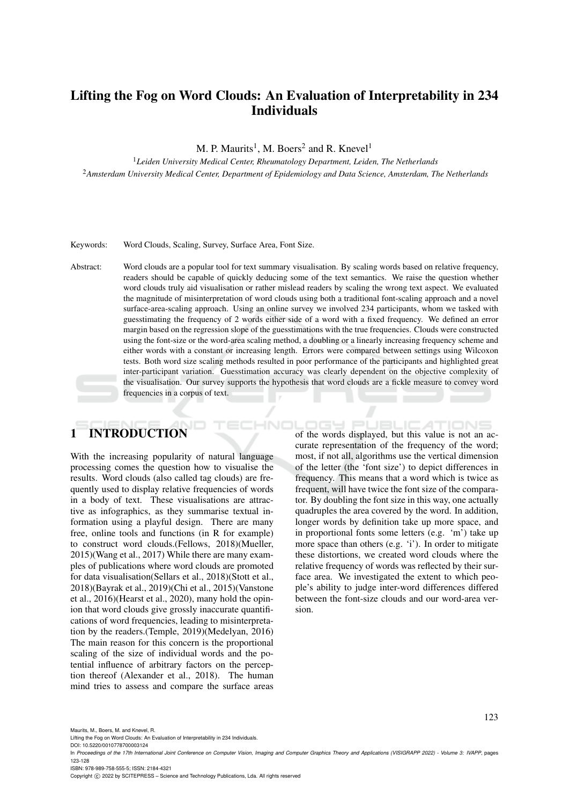## Lifting the Fog on Word Clouds: An Evaluation of Interpretability in 234 Individuals

M. P. Maurits<sup>1</sup>, M. Boers<sup>2</sup> and R. Knevel<sup>1</sup>

<sup>1</sup>*Leiden University Medical Center, Rheumatology Department, Leiden, The Netherlands* <sup>2</sup>*Amsterdam University Medical Center, Department of Epidemiology and Data Science, Amsterdam, The Netherlands*

#### Keywords: Word Clouds, Scaling, Survey, Surface Area, Font Size.

Abstract: Word clouds are a popular tool for text summary visualisation. By scaling words based on relative frequency, readers should be capable of quickly deducing some of the text semantics. We raise the question whether word clouds truly aid visualisation or rather mislead readers by scaling the wrong text aspect. We evaluated the magnitude of misinterpretation of word clouds using both a traditional font-scaling approach and a novel surface-area-scaling approach. Using an online survey we involved 234 participants, whom we tasked with guesstimating the frequency of 2 words either side of a word with a fixed frequency. We defined an error margin based on the regression slope of the guesstimations with the true frequencies. Clouds were constructed using the font-size or the word-area scaling method, a doubling or a linearly increasing frequency scheme and either words with a constant or increasing length. Errors were compared between settings using Wilcoxon tests. Both word size scaling methods resulted in poor performance of the participants and highlighted great inter-participant variation. Guesstimation accuracy was clearly dependent on the objective complexity of the visualisation. Our survey supports the hypothesis that word clouds are a fickle measure to convey word frequencies in a corpus of text.

HNC

# 1 INTRODUCTION

With the increasing popularity of natural language processing comes the question how to visualise the results. Word clouds (also called tag clouds) are frequently used to display relative frequencies of words in a body of text. These visualisations are attractive as infographics, as they summarise textual information using a playful design. There are many free, online tools and functions (in R for example) to construct word clouds.(Fellows, 2018)(Mueller, 2015)(Wang et al., 2017) While there are many examples of publications where word clouds are promoted for data visualisation(Sellars et al., 2018)(Stott et al., 2018)(Bayrak et al., 2019)(Chi et al., 2015)(Vanstone et al., 2016)(Hearst et al., 2020), many hold the opinion that word clouds give grossly inaccurate quantifications of word frequencies, leading to misinterpretation by the readers.(Temple, 2019)(Medelyan, 2016) The main reason for this concern is the proportional scaling of the size of individual words and the potential influence of arbitrary factors on the perception thereof (Alexander et al., 2018). The human mind tries to assess and compare the surface areas of the words displayed, but this value is not an accurate representation of the frequency of the word; most, if not all, algorithms use the vertical dimension of the letter (the 'font size') to depict differences in frequency. This means that a word which is twice as frequent, will have twice the font size of the comparator. By doubling the font size in this way, one actually quadruples the area covered by the word. In addition, longer words by definition take up more space, and in proportional fonts some letters (e.g. 'm') take up more space than others (e.g. 'i'). In order to mitigate these distortions, we created word clouds where the relative frequency of words was reflected by their surface area. We investigated the extent to which people's ability to judge inter-word differences differed between the font-size clouds and our word-area version.

Lifting the Fog on Word Clouds: An Evaluation of Interpretability in 234 Individuals.

DOI: 10.5220/0010778700003124

ISBN: 978-989-758-555-5; ISSN: 2184-4321

Copyright © 2022 by SCITEPRESS - Science and Technology Publications, Lda. All rights reserved

Maurits, M., Boers, M., and Knevel, R.

In *Proceedings of the 17th International Joint Conference on Computer Vision, Imaging and Computer Graphics Theory and Applications (VISIGRAPP 2022) - Volume 3: IVAPP*, pages 123-128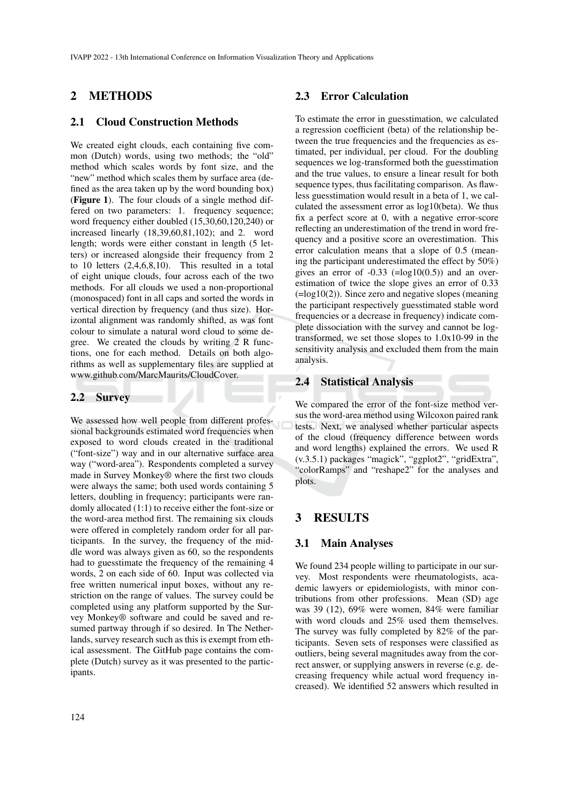## 2 METHODS

#### 2.1 Cloud Construction Methods

We created eight clouds, each containing five common (Dutch) words, using two methods; the "old" method which scales words by font size, and the "new" method which scales them by surface area (defined as the area taken up by the word bounding box) (Figure 1). The four clouds of a single method differed on two parameters: 1. frequency sequence; word frequency either doubled (15,30,60,120,240) or increased linearly (18,39,60,81,102); and 2. word length; words were either constant in length (5 letters) or increased alongside their frequency from 2 to 10 letters (2,4,6,8,10). This resulted in a total of eight unique clouds, four across each of the two methods. For all clouds we used a non-proportional (monospaced) font in all caps and sorted the words in vertical direction by frequency (and thus size). Horizontal alignment was randomly shifted, as was font colour to simulate a natural word cloud to some degree. We created the clouds by writing 2 R functions, one for each method. Details on both algorithms as well as supplementary files are supplied at www.github.com/MarcMaurits/CloudCover.

#### 2.2 Survey

We assessed how well people from different professional backgrounds estimated word frequencies when exposed to word clouds created in the traditional ("font-size") way and in our alternative surface area way ("word-area"). Respondents completed a survey made in Survey Monkey® where the first two clouds were always the same; both used words containing 5 letters, doubling in frequency; participants were randomly allocated (1:1) to receive either the font-size or the word-area method first. The remaining six clouds were offered in completely random order for all participants. In the survey, the frequency of the middle word was always given as 60, so the respondents had to guesstimate the frequency of the remaining 4 words, 2 on each side of 60. Input was collected via free written numerical input boxes, without any restriction on the range of values. The survey could be completed using any platform supported by the Survey Monkey® software and could be saved and resumed partway through if so desired. In The Netherlands, survey research such as this is exempt from ethical assessment. The GitHub page contains the complete (Dutch) survey as it was presented to the participants.

#### 2.3 Error Calculation

To estimate the error in guesstimation, we calculated a regression coefficient (beta) of the relationship between the true frequencies and the frequencies as estimated, per individual, per cloud. For the doubling sequences we log-transformed both the guesstimation and the true values, to ensure a linear result for both sequence types, thus facilitating comparison. As flawless guesstimation would result in a beta of 1, we calculated the assessment error as log10(beta). We thus fix a perfect score at 0, with a negative error-score reflecting an underestimation of the trend in word frequency and a positive score an overestimation. This error calculation means that a slope of 0.5 (meaning the participant underestimated the effect by 50%) gives an error of  $-0.33$  ( $=$ log10(0.5)) and an overestimation of twice the slope gives an error of 0.33 (=log10(2)). Since zero and negative slopes (meaning the participant respectively guesstimated stable word frequencies or a decrease in frequency) indicate complete dissociation with the survey and cannot be logtransformed, we set those slopes to 1.0x10-99 in the sensitivity analysis and excluded them from the main analysis.

## 2.4 Statistical Analysis

We compared the error of the font-size method versus the word-area method using Wilcoxon paired rank tests. Next, we analysed whether particular aspects of the cloud (frequency difference between words and word lengths) explained the errors. We used R (v.3.5.1) packages "magick", "ggplot2", "gridExtra", "colorRamps" and "reshape2" for the analyses and plots.

## 3 RESULTS

#### 3.1 Main Analyses

We found 234 people willing to participate in our survey. Most respondents were rheumatologists, academic lawyers or epidemiologists, with minor contributions from other professions. Mean (SD) age was 39 (12), 69% were women, 84% were familiar with word clouds and 25% used them themselves. The survey was fully completed by 82% of the participants. Seven sets of responses were classified as outliers, being several magnitudes away from the correct answer, or supplying answers in reverse (e.g. decreasing frequency while actual word frequency increased). We identified 52 answers which resulted in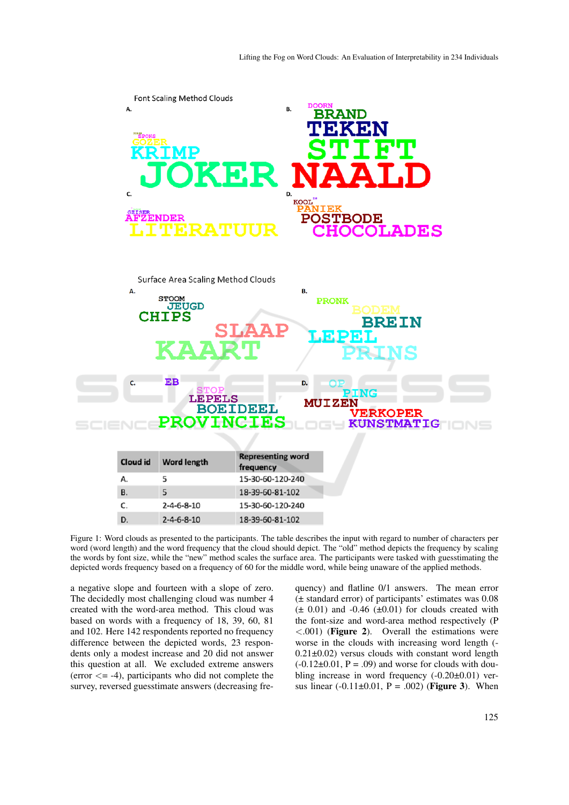

Figure 1: Word clouds as presented to the participants. The table describes the input with regard to number of characters per word (word length) and the word frequency that the cloud should depict. The "old" method depicts the frequency by scaling the words by font size, while the "new" method scales the surface area. The participants were tasked with guesstimating the depicted words frequency based on a frequency of 60 for the middle word, while being unaware of the applied methods.

a negative slope and fourteen with a slope of zero. The decidedly most challenging cloud was number 4 created with the word-area method. This cloud was based on words with a frequency of 18, 39, 60, 81 and 102. Here 142 respondents reported no frequency difference between the depicted words, 23 respondents only a modest increase and 20 did not answer this question at all. We excluded extreme answers (error  $\le$  -4), participants who did not complete the survey, reversed guesstimate answers (decreasing frequency) and flatline 0/1 answers. The mean error (± standard error) of participants' estimates was 0.08  $(\pm 0.01)$  and  $-0.46$  ( $\pm 0.01$ ) for clouds created with the font-size and word-area method respectively (P  $< .001$ ) (Figure 2). Overall the estimations were worse in the clouds with increasing word length (-  $0.21 \pm 0.02$ ) versus clouds with constant word length  $(-0.12\pm0.01, P = .09)$  and worse for clouds with doubling increase in word frequency (-0.20±0.01) versus linear  $(-0.11 \pm 0.01, P = .002)$  (Figure 3). When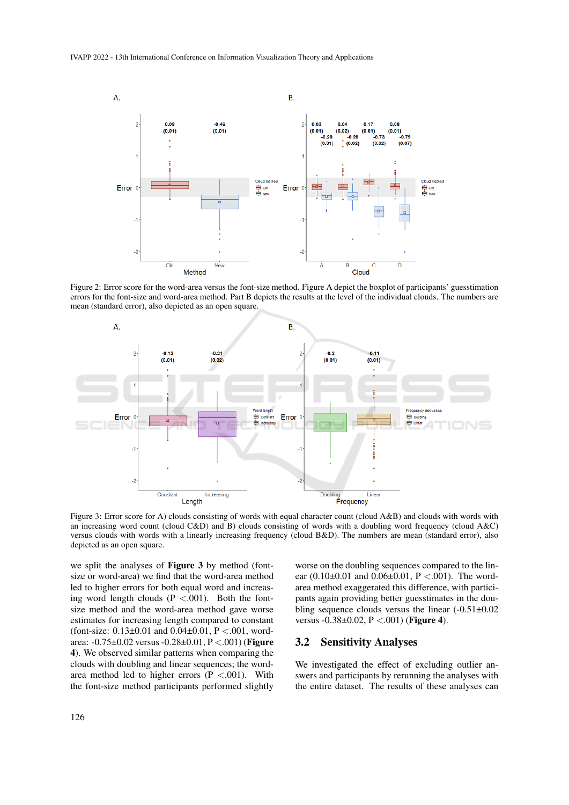

Figure 2: Error score for the word-area versus the font-size method. Figure A depict the boxplot of participants' guesstimation errors for the font-size and word-area method. Part B depicts the results at the level of the individual clouds. The numbers are mean (standard error), also depicted as an open square.



Figure 3: Error score for A) clouds consisting of words with equal character count (cloud A&B) and clouds with words with an increasing word count (cloud C&D) and B) clouds consisting of words with a doubling word frequency (cloud A&C) versus clouds with words with a linearly increasing frequency (cloud B&D). The numbers are mean (standard error), also depicted as an open square.

we split the analyses of Figure 3 by method (fontsize or word-area) we find that the word-area method led to higher errors for both equal word and increasing word length clouds  $(P < .001)$ . Both the fontsize method and the word-area method gave worse estimates for increasing length compared to constant (font-size:  $0.13\pm0.01$  and  $0.04\pm0.01$ , P <.001, wordarea: -0.75±0.02 versus -0.28±0.01, P <.001) (Figure 4). We observed similar patterns when comparing the clouds with doubling and linear sequences; the wordarea method led to higher errors  $(P < .001)$ . With the font-size method participants performed slightly

worse on the doubling sequences compared to the linear  $(0.10\pm0.01$  and  $0.06\pm0.01$ , P <.001). The wordarea method exaggerated this difference, with participants again providing better guesstimates in the doubling sequence clouds versus the linear (-0.51±0.02 versus  $-0.38 \pm 0.02$ ,  $P < .001$ ) (**Figure 4**).

## 3.2 Sensitivity Analyses

We investigated the effect of excluding outlier answers and participants by rerunning the analyses with the entire dataset. The results of these analyses can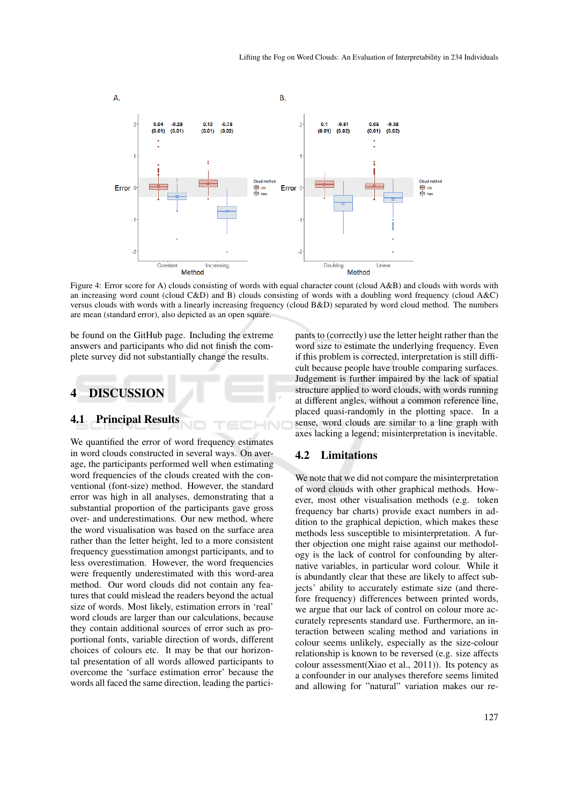

Figure 4: Error score for A) clouds consisting of words with equal character count (cloud A&B) and clouds with words with an increasing word count (cloud C&D) and B) clouds consisting of words with a doubling word frequency (cloud A&C) versus clouds with words with a linearly increasing frequency (cloud B&D) separated by word cloud method. The numbers are mean (standard error), also depicted as an open square.

be found on the GitHub page. Including the extreme answers and participants who did not finish the complete survey did not substantially change the results.

## 4 DISCUSSION

#### 4.1 Principal Results

We quantified the error of word frequency estimates in word clouds constructed in several ways. On average, the participants performed well when estimating word frequencies of the clouds created with the conventional (font-size) method. However, the standard error was high in all analyses, demonstrating that a substantial proportion of the participants gave gross over- and underestimations. Our new method, where the word visualisation was based on the surface area rather than the letter height, led to a more consistent frequency guesstimation amongst participants, and to less overestimation. However, the word frequencies were frequently underestimated with this word-area method. Our word clouds did not contain any features that could mislead the readers beyond the actual size of words. Most likely, estimation errors in 'real' word clouds are larger than our calculations, because they contain additional sources of error such as proportional fonts, variable direction of words, different choices of colours etc. It may be that our horizontal presentation of all words allowed participants to overcome the 'surface estimation error' because the words all faced the same direction, leading the participants to (correctly) use the letter height rather than the word size to estimate the underlying frequency. Even if this problem is corrected, interpretation is still difficult because people have trouble comparing surfaces. Judgement is further impaired by the lack of spatial structure applied to word clouds, with words running at different angles, without a common reference line, placed quasi-randomly in the plotting space. In a sense, word clouds are similar to a line graph with axes lacking a legend; misinterpretation is inevitable.

#### 4.2 Limitations

We note that we did not compare the misinterpretation of word clouds with other graphical methods. However, most other visualisation methods (e.g. token frequency bar charts) provide exact numbers in addition to the graphical depiction, which makes these methods less susceptible to misinterpretation. A further objection one might raise against our methodology is the lack of control for confounding by alternative variables, in particular word colour. While it is abundantly clear that these are likely to affect subjects' ability to accurately estimate size (and therefore frequency) differences between printed words, we argue that our lack of control on colour more accurately represents standard use. Furthermore, an interaction between scaling method and variations in colour seems unlikely, especially as the size-colour relationship is known to be reversed (e.g. size affects colour assessment(Xiao et al., 2011)). Its potency as a confounder in our analyses therefore seems limited and allowing for "natural" variation makes our re